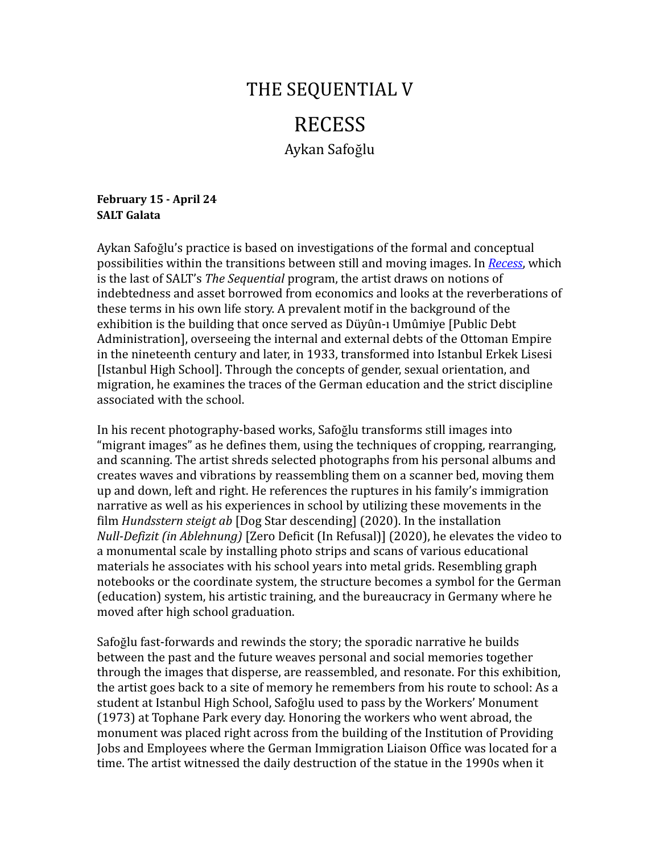# THE SEQUENTIAL V RECESS

Aykan Safoğlu

## **February 15 - April 24 SALT Galata**

Aykan Safoğlu's practice is based on investigations of the formal and conceptual possibilities within the transitions between still and moving images. In *[Recess](https://saltonline.org/en/2395)*, which is the last of SALT's *The Sequential* program, the artist draws on notions of indebtedness and asset borrowed from economics and looks at the reverberations of these terms in his own life story. A prevalent motif in the background of the exhibition is the building that once served as Düyûn-ı Umûmiye [Public Debt Administration], overseeing the internal and external debts of the Ottoman Empire in the nineteenth century and later, in 1933, transformed into Istanbul Erkek Lisesi [Istanbul High School]. Through the concepts of gender, sexual orientation, and migration, he examines the traces of the German education and the strict discipline associated with the school.

In his recent photography-based works, Safoğlu transforms still images into "migrant images" as he defines them, using the techniques of cropping, rearranging, and scanning. The artist shreds selected photographs from his personal albums and creates waves and vibrations by reassembling them on a scanner bed, moving them up and down, left and right. He references the ruptures in his family's immigration narrative as well as his experiences in school by utilizing these movements in the film *Hundsstern steigt ab* [Dog Star descending] (2020). In the installation *Null-Defizit (in Ablehnung)* [Zero Deficit (In Refusal)] (2020), he elevates the video to a monumental scale by installing photo strips and scans of various educational materials he associates with his school years into metal grids. Resembling graph notebooks or the coordinate system, the structure becomes a symbol for the German (education) system, his artistic training, and the bureaucracy in Germany where he moved after high school graduation.

Safoğlu fast-forwards and rewinds the story; the sporadic narrative he builds between the past and the future weaves personal and social memories together through the images that disperse, are reassembled, and resonate. For this exhibition, the artist goes back to a site of memory he remembers from his route to school: As a student at Istanbul High School, Safoğlu used to pass by the Workers' Monument (1973) at Tophane Park every day. Honoring the workers who went abroad, the monument was placed right across from the building of the Institution of Providing Jobs and Employees where the German Immigration Liaison Office was located for a time. The artist witnessed the daily destruction of the statue in the 1990s when it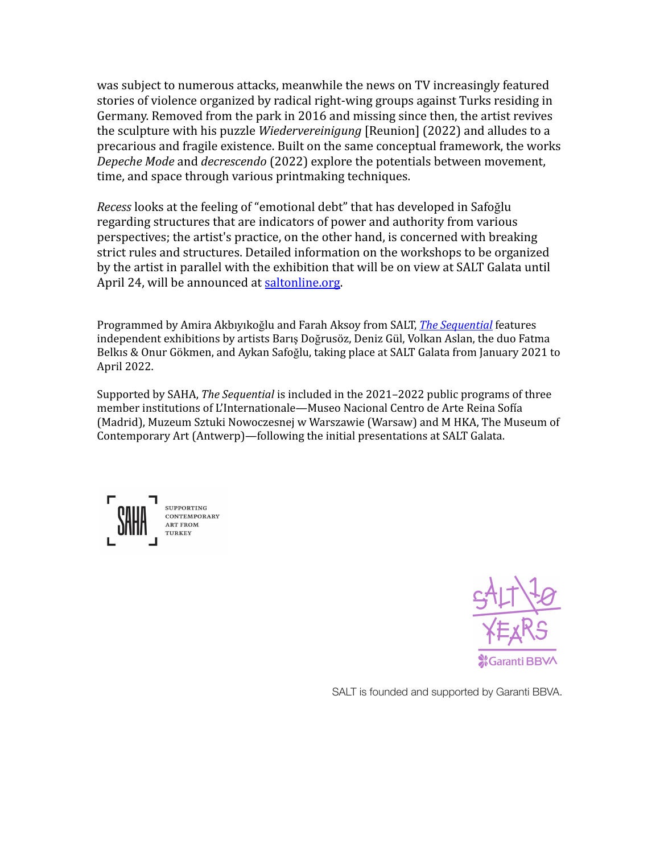was subject to numerous attacks, meanwhile the news on TV increasingly featured stories of violence organized by radical right-wing groups against Turks residing in Germany. Removed from the park in 2016 and missing since then, the artist revives the sculpture with his puzzle *Wiedervereinigung* [Reunion] (2022) and alludes to a precarious and fragile existence. Built on the same conceptual framework, the works *Depeche Mode* and *decrescendo* (2022) explore the potentials between movement, time, and space through various printmaking techniques.

*Recess* looks at the feeling of "emotional debt" that has developed in Safoğlu regarding structures that are indicators of power and authority from various perspectives; the artist's practice, on the other hand, is concerned with breaking strict rules and structures. Detailed information on the workshops to be organized by the artist in parallel with the exhibition that will be on view at SALT Galata until April 24, will be announced at [saltonline.org.](https://saltonline.org/)

Programmed by Amira Akbıyıkoğlu and Farah Aksoy from SALT, *The [Sequential](https://saltonline.org/en/2303)* features independent exhibitions by artists Barış Doğrusöz, Deniz Gül, Volkan Aslan, the duo Fatma Belkıs & Onur Gökmen, and Aykan Safoğlu, taking place at SALT Galata from January 2021 to April 2022.

Supported by SAHA, *The Sequential* is included in the 2021–2022 public programs of three member institutions of L'Internationale—Museo Nacional Centro de Arte Reina Sofía (Madrid), Muzeum Sztuki Nowoczesnej w Warszawie (Warsaw) and M HKA, The Museum of Contemporary Art (Antwerp)—following the initial presentations at SALT Galata.

SUPPORTING CONTEMPORARY **ART FROM** TURKEY



SALT is founded and supported by Garanti BBVA.